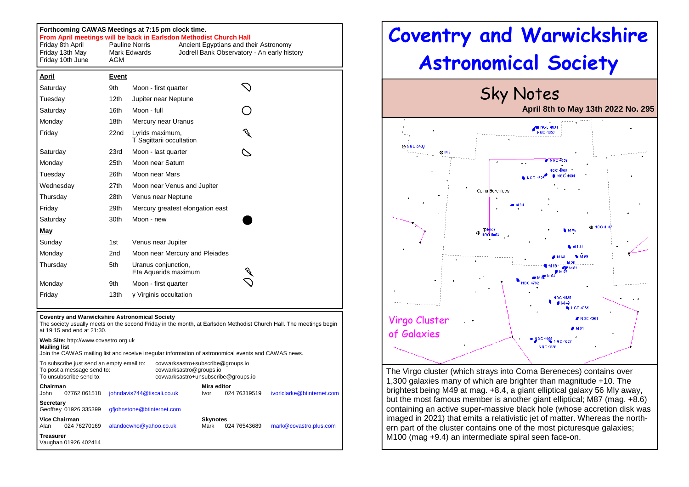## **Forthcoming CAWAS Meetings at 7:15 pm clock time.**

**From April meetings will be back in Earlsdon Methodist Church Hall** 

| Friday 8th April | <b>Pauline Norris</b> | Ancient Egyptians and their Astronomy       |
|------------------|-----------------------|---------------------------------------------|
| Friday 13th May  | Mark Edwards          | Jodrell Bank Observatory - An early history |
| Friday 10th June | AGM                   |                                             |

| <u>April</u> | Event            |                                             |  |
|--------------|------------------|---------------------------------------------|--|
| Saturday     | 9th              | Moon - first quarter                        |  |
| Tuesday      | 12 <sub>th</sub> | Jupiter near Neptune                        |  |
| Saturday     | 16th             | Moon - full                                 |  |
| Monday       | 18th             | Mercury near Uranus                         |  |
| Friday       | 22nd             | Lyrids maximum,<br>T Sagittarii occultation |  |
| Saturday     | 23rd             | Moon - last quarter                         |  |
| Monday       | 25th             | Moon near Saturn                            |  |
| Tuesday      | 26th             | Moon near Mars                              |  |
| Wednesday    | 27th             | Moon near Venus and Jupiter                 |  |
| Thursday     | 28th             | Venus near Neptune                          |  |
| Friday       | 29th             | Mercury greatest elongation east            |  |
| Saturday     | 30th             | Moon - new                                  |  |
| <u>May</u>   |                  |                                             |  |
| Sunday       | 1st              | Venus near Jupiter                          |  |
| Monday       | 2 <sub>nd</sub>  | Moon near Mercury and Pleiades              |  |
| Thursday     | 5th              | Uranus conjunction,<br>Eta Aquarids maximum |  |
| Monday       | 9th              | Moon - first quarter                        |  |
| Friday       | 13th             | y Virginis occultation                      |  |

## **Coventry and Warwickshire Astronomical Society**

 The society usually meets on the second Friday in the month, at Earlsdon Methodist Church Hall. The meetings begin at 19:15 and end at 21:30.

| <b>Mailing list</b>                                                                                | Web Site: http://www.covastro.org.uk | Join the CAWAS mailing list and receive irregular information of astronomical events and CAWAS news. |  |                         |              |                            |
|----------------------------------------------------------------------------------------------------|--------------------------------------|------------------------------------------------------------------------------------------------------|--|-------------------------|--------------|----------------------------|
| To subscribe just send an empty email to:<br>To post a message send to:<br>To unsubscribe send to: |                                      | covwarksastro+subscribe@groups.io<br>covwarksastro@groups.io<br>covwarksastro+unsubscribe@groups.io  |  |                         |              |                            |
| Chairman<br>John                                                                                   | 07762 061518                         | johndavis744@tiscali.co.uk                                                                           |  | Mira editor<br>Ivor     | 024 76319519 | ivorlclarke@btinternet.com |
| Secretary                                                                                          | Geoffrey 01926 335399                | gfjohnstone@btinternet.com                                                                           |  |                         |              |                            |
| <b>Vice Chairman</b><br>Alan                                                                       | 024 76270169                         | alandocwho@yahoo.co.uk                                                                               |  | <b>Skynotes</b><br>Mark | 024 76543689 | mark@covastro.plus.com     |
| <b>Treasurer</b>                                                                                   | Vaughan 01926 402414                 |                                                                                                      |  |                         |              |                            |

## Coventry and Warwickshire Astronomical Society Sky Notes **April 8th to May 13th 2022 No. 295**NGC 463 45 NGC 5466 45,642 **NGC 455** Coma Berenices **@NGC 414** ⊕M 53  $oplus$  NGC 5053 68.06 Virgo Cluster of Galaxies NGC 4636

The Virgo cluster (which strays into Coma Bereneces) contains over 1,300 galaxies many of which are brighter than magnitude +10. The brightest being M49 at mag. +8.4, a giant elliptical galaxy 56 Mly away, but the most famous member is another giant elliptical; M87 (mag. +8.6) containing an active super-massive black hole (whose accretion disk was imaged in 2021) that emits a relativistic jet of matter. Whereas the northern part of the cluster contains one of the most picturesque galaxies; M100 (mag +9.4) an intermediate spiral seen face-on.